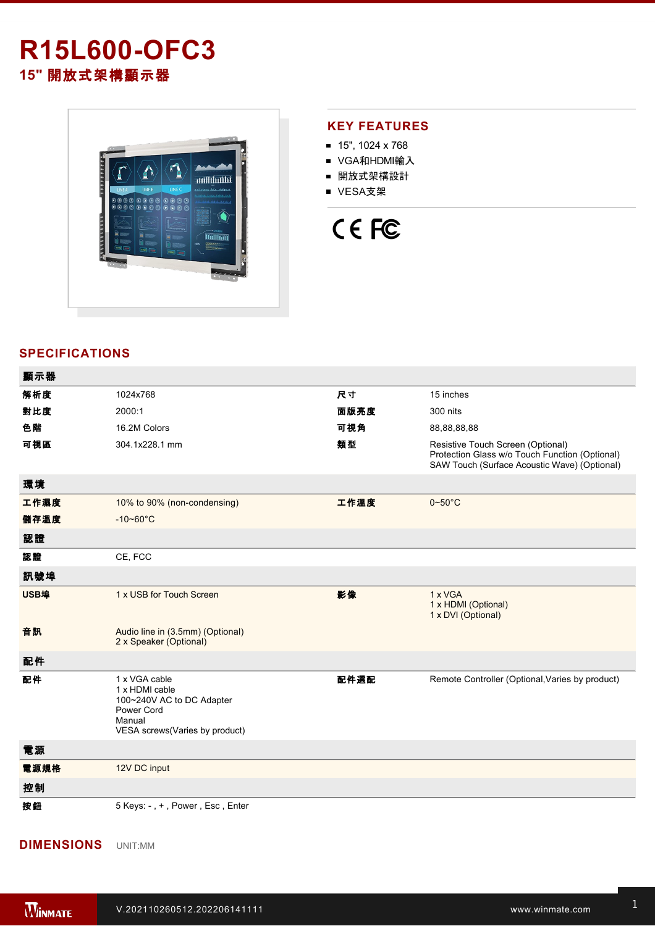## **R15L600-OFC3 15"** 開放式架構顯示器



## **KEY FEATURES**

- 15", 1024 x 768
- VGA和HDMI輸入
- 開放式架構設計
- VESA支架



## **SPECIFICATIONS**

| 顯示器  |                                                                                                                        |      |                                                                                                                                     |
|------|------------------------------------------------------------------------------------------------------------------------|------|-------------------------------------------------------------------------------------------------------------------------------------|
| 解析度  | 1024x768                                                                                                               | 尺寸   | 15 inches                                                                                                                           |
| 對比度  | 2000:1                                                                                                                 | 面版亮度 | 300 nits                                                                                                                            |
| 色階   | 16.2M Colors                                                                                                           | 可視角  | 88,88,88,88                                                                                                                         |
| 可視區  | 304.1x228.1 mm                                                                                                         | 類型   | Resistive Touch Screen (Optional)<br>Protection Glass w/o Touch Function (Optional)<br>SAW Touch (Surface Acoustic Wave) (Optional) |
| 環境   |                                                                                                                        |      |                                                                                                                                     |
| 工作濕度 | 10% to 90% (non-condensing)                                                                                            | 工作溫度 | $0 - 50$ °C                                                                                                                         |
| 儲存溫度 | $-10 - 60^{\circ}C$                                                                                                    |      |                                                                                                                                     |
| 認證   |                                                                                                                        |      |                                                                                                                                     |
| 認證   | CE, FCC                                                                                                                |      |                                                                                                                                     |
| 訊號埠  |                                                                                                                        |      |                                                                                                                                     |
| USB埠 | 1 x USB for Touch Screen                                                                                               | 影像   | 1 x VGA<br>1 x HDMI (Optional)<br>1 x DVI (Optional)                                                                                |
| 音訊   | Audio line in (3.5mm) (Optional)<br>2 x Speaker (Optional)                                                             |      |                                                                                                                                     |
| 配件   |                                                                                                                        |      |                                                                                                                                     |
| 配件   | 1 x VGA cable<br>1 x HDMI cable<br>100~240V AC to DC Adapter<br>Power Cord<br>Manual<br>VESA screws(Varies by product) | 配件選配 | Remote Controller (Optional, Varies by product)                                                                                     |
| 電源   |                                                                                                                        |      |                                                                                                                                     |
| 電源規格 | 12V DC input                                                                                                           |      |                                                                                                                                     |
| 控制   |                                                                                                                        |      |                                                                                                                                     |
| 按鈕   | 5 Keys: -, +, Power, Esc, Enter                                                                                        |      |                                                                                                                                     |

**DIMENSIONS**  UNIT:MM